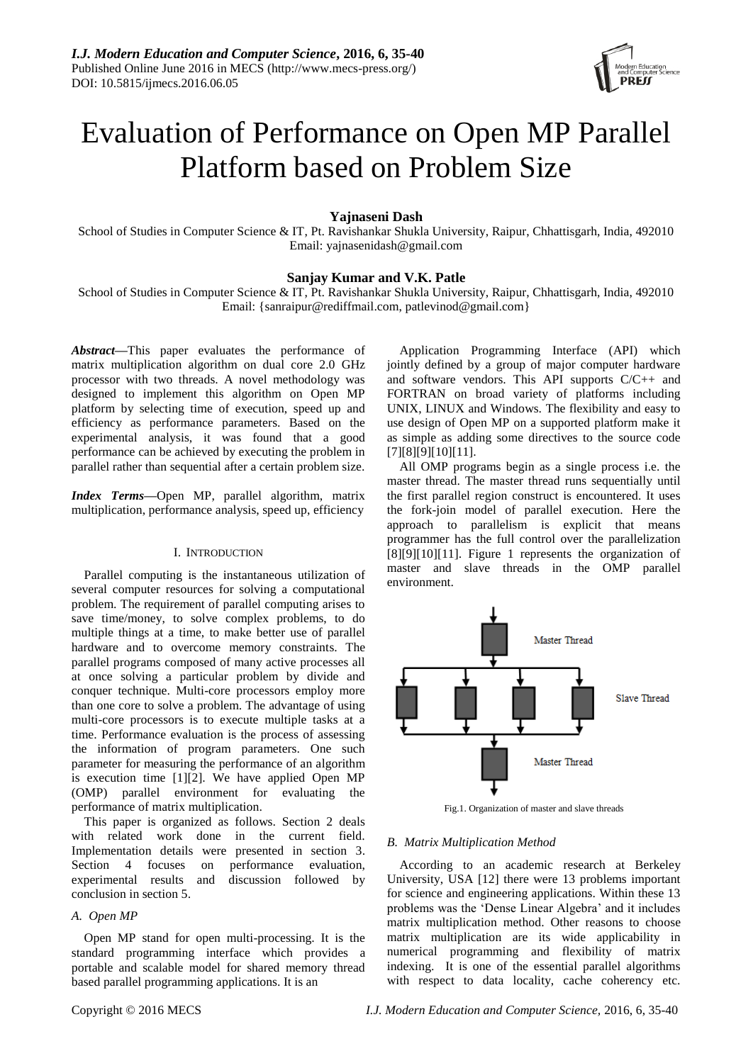

# Evaluation of Performance on Open MP Parallel Platform based on Problem Size

**Yajnaseni Dash**

School of Studies in Computer Science & IT, Pt. Ravishankar Shukla University, Raipur, Chhattisgarh, India, 492010 Email: yajnasenidash@gmail.com

# **Sanjay Kumar and V.K. Patle**

School of Studies in Computer Science & IT, Pt. Ravishankar Shukla University, Raipur, Chhattisgarh, India, 492010 Email: {sanraipur@rediffmail.com, patlevinod@gmail.com}

*Abstract***—**This paper evaluates the performance of matrix multiplication algorithm on dual core 2.0 GHz processor with two threads. A novel methodology was designed to implement this algorithm on Open MP platform by selecting time of execution, speed up and efficiency as performance parameters. Based on the experimental analysis, it was found that a good performance can be achieved by executing the problem in parallel rather than sequential after a certain problem size.

*Index Terms***—**Open MP, parallel algorithm, matrix multiplication, performance analysis, speed up, efficiency

#### I. INTRODUCTION

Parallel computing is the instantaneous utilization of several computer resources for solving a computational problem. The requirement of parallel computing arises to save time/money, to solve complex problems, to do multiple things at a time, to make better use of parallel hardware and to overcome memory constraints. The parallel programs composed of many active processes all at once solving a particular problem by divide and conquer technique. Multi-core processors employ more than one core to solve a problem. The advantage of using multi-core processors is to execute multiple tasks at a time. Performance evaluation is the process of assessing the information of program parameters. One such parameter for measuring the performance of an algorithm is execution time [1][2]. We have applied Open MP (OMP) parallel environment for evaluating the performance of matrix multiplication.

This paper is organized as follows. Section 2 deals with related work done in the current field. Implementation details were presented in section 3. Section 4 focuses on performance evaluation, experimental results and discussion followed by conclusion in section 5.

## *A. Open MP*

Open MP stand for open multi-processing. It is the standard programming interface which provides a portable and scalable model for shared memory thread based parallel programming applications. It is an

Application Programming Interface (API) which jointly defined by a group of major computer hardware and software vendors. This API supports C/C++ and FORTRAN on broad variety of platforms including UNIX, LINUX and Windows. The flexibility and easy to use design of Open MP on a supported platform make it as simple as adding some directives to the source code [7][8][9][10][11].

All OMP programs begin as a single process i.e. the master thread. The master thread runs sequentially until the first parallel region construct is encountered. It uses the fork-join model of parallel execution. Here the approach to parallelism is explicit that means programmer has the full control over the parallelization [8][9][10][11]. Figure 1 represents the organization of master and slave threads in the OMP parallel environment.



Fig.1. Organization of master and slave threads

## *B. Matrix Multiplication Method*

According to an academic research at Berkeley University, USA [12] there were 13 problems important for science and engineering applications. Within these 13 problems was the "Dense Linear Algebra" and it includes matrix multiplication method. Other reasons to choose matrix multiplication are its wide applicability in numerical programming and flexibility of matrix indexing. It is one of the essential parallel algorithms with respect to data locality, cache coherency etc.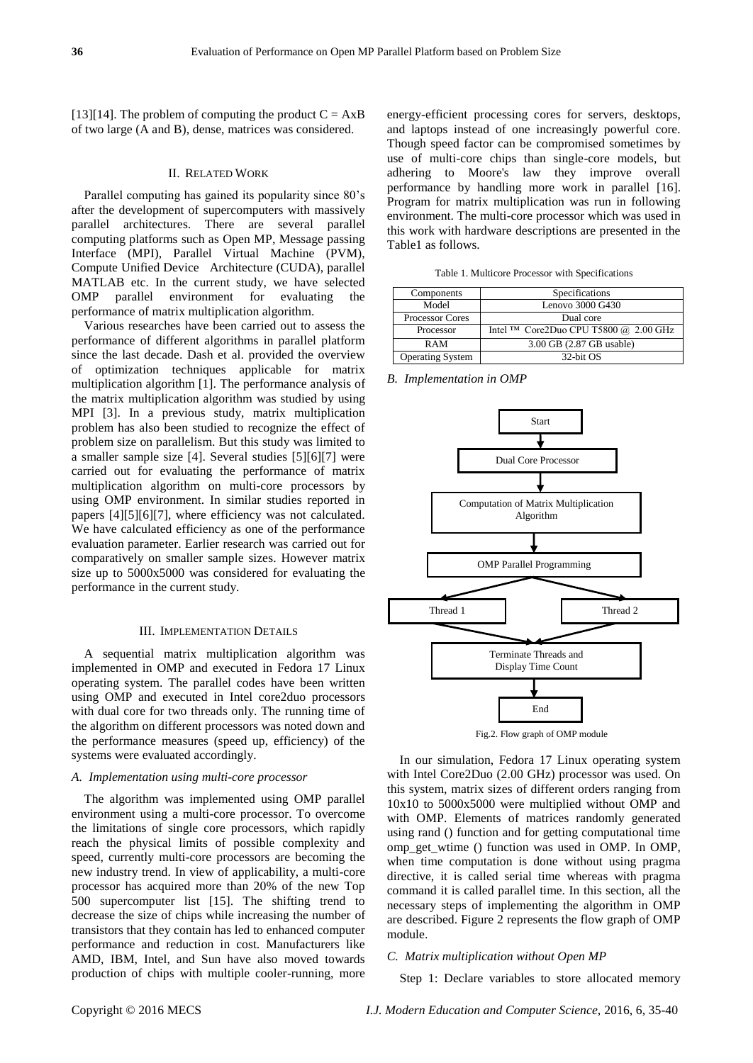[13][14]. The problem of computing the product  $C = AxB$ of two large (A and B), dense, matrices was considered.

## II. RELATED WORK

Parallel computing has gained its popularity since 80"s after the development of supercomputers with massively parallel architectures. There are several parallel computing platforms such as Open MP, Message passing Interface (MPI), Parallel Virtual Machine (PVM), Compute Unified Device Architecture (CUDA), parallel MATLAB etc. In the current study, we have selected OMP parallel environment for evaluating performance of matrix multiplication algorithm.

Various researches have been carried out to assess the performance of different algorithms in parallel platform since the last decade. Dash et al. provided the overview of optimization techniques applicable for matrix multiplication algorithm [1]. The performance analysis of the matrix multiplication algorithm was studied by using MPI [3]. In a previous study, matrix multiplication problem has also been studied to recognize the effect of problem size on parallelism. But this study was limited to a smaller sample size [4]. Several studies [5][6][7] were carried out for evaluating the performance of matrix multiplication algorithm on multi-core processors by using OMP environment. In similar studies reported in papers [4][5][6][7], where efficiency was not calculated. We have calculated efficiency as one of the performance evaluation parameter. Earlier research was carried out for comparatively on smaller sample sizes. However matrix size up to 5000x5000 was considered for evaluating the performance in the current study.

#### III. IMPLEMENTATION DETAILS

A sequential matrix multiplication algorithm was implemented in OMP and executed in Fedora 17 Linux operating system. The parallel codes have been written using OMP and executed in Intel core2duo processors with dual core for two threads only. The running time of the algorithm on different processors was noted down and the performance measures (speed up, efficiency) of the systems were evaluated accordingly.

#### *A. Implementation using multi-core processor*

The algorithm was implemented using OMP parallel environment using a multi-core processor. To overcome the limitations of single core processors, which rapidly reach the physical limits of possible complexity and speed, currently multi-core processors are becoming the new industry trend. In view of applicability, a multi-core processor has acquired more than 20% of the new Top 500 supercomputer list [15]. The shifting trend to decrease the size of chips while increasing the number of transistors that they contain has led to enhanced computer performance and reduction in cost. Manufacturers like AMD, IBM, Intel, and Sun have also moved towards production of chips with multiple cooler-running, more energy-efficient processing cores for servers, desktops, and laptops instead of one increasingly powerful core. Though speed factor can be compromised sometimes by use of multi-core chips than single-core models, but adhering to Moore's law they improve overall performance by handling more work in parallel [16]. Program for matrix multiplication was run in following environment. The multi-core processor which was used in this work with hardware descriptions are presented in the Table1 as follows.

Table 1. Multicore Processor with Specifications

| Components              | Specifications                           |  |
|-------------------------|------------------------------------------|--|
| Model                   | Lenovo 3000 G430                         |  |
| <b>Processor Cores</b>  | Dual core                                |  |
| Processor               | Intel $TM$ Core2Duo CPU T5800 @ 2.00 GHz |  |
| <b>RAM</b>              | 3.00 GB (2.87 GB usable)                 |  |
| <b>Operating System</b> | 32-bit OS                                |  |

*B. Implementation in OMP*



Fig.2. Flow graph of OMP module

In our simulation, Fedora 17 Linux operating system with Intel Core2Duo (2.00 GHz) processor was used. On this system, matrix sizes of different orders ranging from 10x10 to 5000x5000 were multiplied without OMP and with OMP. Elements of matrices randomly generated using rand () function and for getting computational time omp\_get\_wtime () function was used in OMP. In OMP, when time computation is done without using pragma directive, it is called serial time whereas with pragma command it is called parallel time. In this section, all the necessary steps of implementing the algorithm in OMP are described. Figure 2 represents the flow graph of OMP module.

#### *C. Matrix multiplication without Open MP*

Step 1: Declare variables to store allocated memory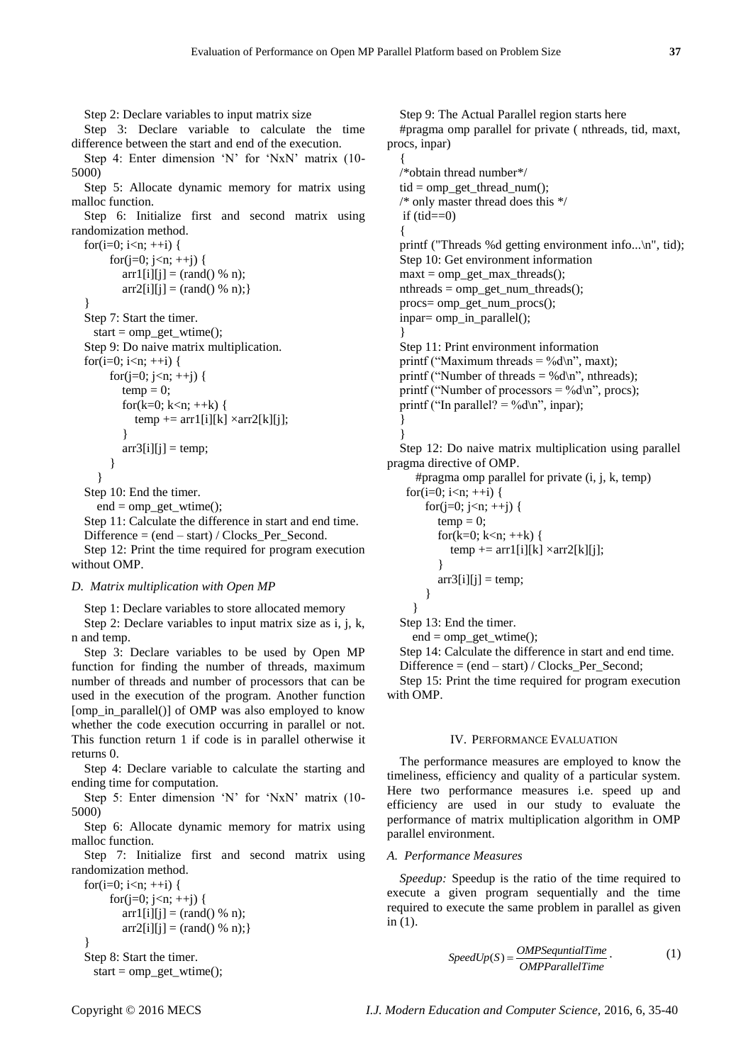Step 2: Declare variables to input matrix size

Step 3: Declare variable to calculate the time difference between the start and end of the execution.

Step 4: Enter dimension 'N' for 'NxN' matrix (10-5000)

Step 5: Allocate dynamic memory for matrix using malloc function.

Step 6: Initialize first and second matrix using randomization method.

for(i=0; i<n;  $++i$ ) { for $(j=0; j < n; ++j)$  {  $\arctan\left[\frac{i}{i}\right] = (\text{rand}(0, 0, 0))$ ;  $\ar{r2[i][j]} = (\text{rand}(0, 96, n));$ } Step 7: Start the timer. start =  $omp$  get wtime(); Step 9: Do naive matrix multiplication.

for(i=0; i<n;  $++i$ ) { for $(j=0; j < n; ++j)$  {  $temp = 0;$ for(k=0; k<n;  $\pm$ +k) {  $temp \leftarrow \text{arr1[i][k]} \times \text{arr2[k][j]};$  }  $arr3[i][j] = temp;$ }

```
 }
```
Step 10: End the timer.

end = omp\_get\_wtime();

Step 11: Calculate the difference in start and end time. Difference  $=$  (end  $-$  start) / Clocks Per Second. Step 12: Print the time required for program execution without OMP.

#### *D. Matrix multiplication with Open MP*

Step 1: Declare variables to store allocated memory

Step 2: Declare variables to input matrix size as i, j, k, n and temp.

Step 3: Declare variables to be used by Open MP function for finding the number of threads, maximum number of threads and number of processors that can be used in the execution of the program. Another function [omp\_in\_parallel()] of OMP was also employed to know whether the code execution occurring in parallel or not. This function return 1 if code is in parallel otherwise it returns 0.

Step 4: Declare variable to calculate the starting and ending time for computation.

Step 5: Enter dimension 'N' for 'NxN' matrix (10-5000)

Step 6: Allocate dynamic memory for matrix using malloc function.

Step 7: Initialize first and second matrix using randomization method.

```
for(i=0; i<n; ++i) {
      for(j=0; j<n; ++j) {
          \arctan\left[\frac{i}{i}\right] = (\text{rand}(0, \text{% n});\ar{r2[i][j]} = (\text{rand}(0, 96, n));Step 8: Start the timer.
```

```
start = comp\_get\_wtime;
```
Step 9: The Actual Parallel region starts here #pragma omp parallel for private ( nthreads, tid, maxt, procs, inpar)

{ /\*obtain thread number\*/  $tid = comp\_get\_thread\_num();$ /\* only master thread does this \*/ if  $(tid == 0)$ { printf ("Threads %d getting environment info...\n", tid); Step 10: Get environment information  $maxt = comp\_get\_max\_threads()$ ;  $n$ threads =  $omp\_get\_num\_threads()$ ; procs= omp\_get\_num\_procs(); inpar= omp\_in\_parallel(); } Step 11: Print environment information printf ("Maximum threads = %d\n", maxt); printf ("Number of threads = %d\n", nthreads); printf ("Number of processors = %d\n", procs); printf ("In parallel? = %d\n", inpar); }

Step 12: Do naive matrix multiplication using parallel pragma directive of OMP.

```
 #pragma omp parallel for private (i, j, k, temp)
for(i=0; i<n; ++i) {
     for(i=0; i\leq n; ++i) {
        temp = 0:
        for(k=0; k<n; \pm+k) {
            temp \leftarrow \text{arr1}[i][k] \times \text{arr2}[k][i]; }
        \arctan\left(\frac{1}{i}\right) = \text{temp};
      }
   }
```
Step 13: End the timer.

}

 $end = comp\_get\_wtime$ ;

Step 14: Calculate the difference in start and end time. Difference = (end – start) / Clocks\_Per\_Second;

Step 15: Print the time required for program execution with OMP.

#### IV. PERFORMANCE EVALUATION

The performance measures are employed to know the timeliness, efficiency and quality of a particular system. Here two performance measures i.e. speed up and efficiency are used in our study to evaluate the performance of matrix multiplication algorithm in OMP parallel environment.

#### *A. Performance Measures*

*Speedup:* Speedup is the ratio of the time required to execute a given program sequentially and the time required to execute the same problem in parallel as given in (1).

$$
SpeedUp(S) = \frac{OMPSequentialTime}{OMPParallelTime} \tag{1}
$$

}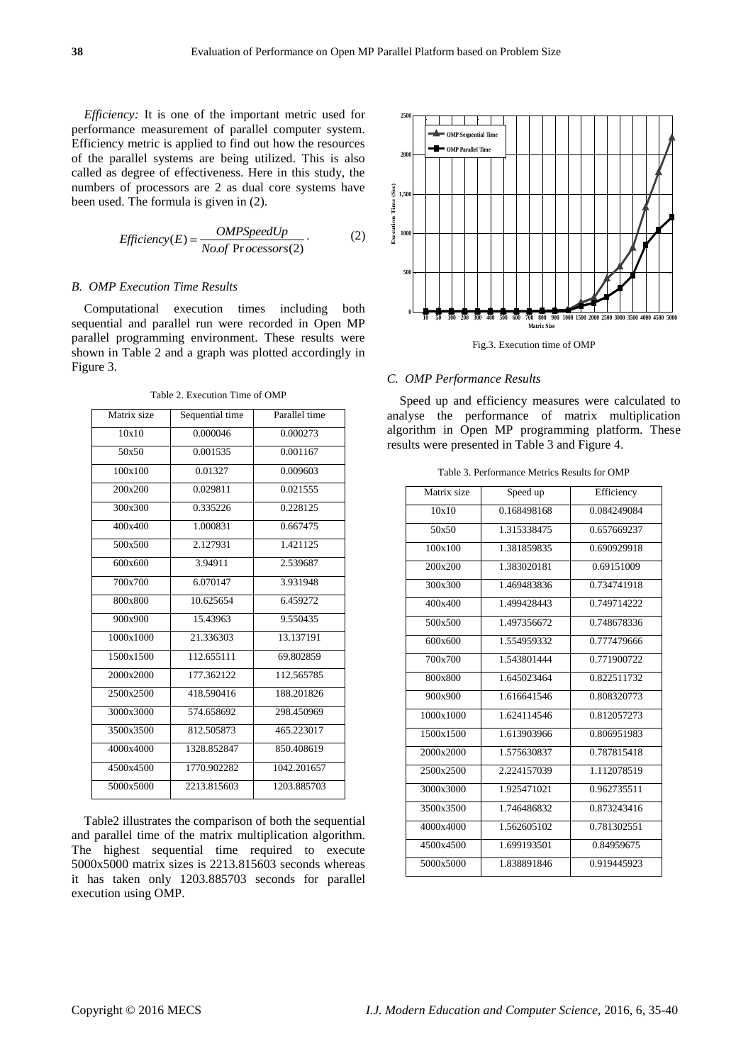*Efficiency:* It is one of the important metric used for performance measurement of parallel computer system. Efficiency metric is applied to find out how the resources of the parallel systems are being utilized. This is also called as degree of effectiveness. Here in this study, the numbers of processors are 2 as dual core systems have been used. The formula is given in (2).

$$
Efficiency(E) = \frac{OMPSpeedUp}{No.of\ Pr\ ocessors(2)}.
$$
 (2)

## *B. OMP Execution Time Results*

Computational execution times including both sequential and parallel run were recorded in Open MP parallel programming environment. These results were shown in Table 2 and a graph was plotted accordingly in Figure 3.

Table 2. Execution Time of OMP

| Matrix size | Sequential time | Parallel time |
|-------------|-----------------|---------------|
| 10x10       | 0.000046        | 0.000273      |
| 50x50       | 0.001535        | 0.001167      |
| 100x100     | 0.01327         | 0.009603      |
| 200x200     | 0.029811        | 0.021555      |
| 300x300     | 0.335226        | 0.228125      |
| 400x400     | 1.000831        | 0.667475      |
| 500x500     | 2.127931        | 1.421125      |
| 600x600     | 3.94911         | 2.539687      |
| 700x700     | 6.070147        | 3.931948      |
| 800x800     | 10.625654       | 6.459272      |
| 900x900     | 15.43963        | 9.550435      |
| 1000x1000   | 21.336303       | 13.137191     |
| 1500x1500   | 112.655111      | 69.802859     |
| 2000x2000   | 177.362122      | 112.565785    |
| 2500x2500   | 418.590416      | 188.201826    |
| 3000x3000   | 574.658692      | 298.450969    |
| 3500x3500   | 812.505873      | 465.223017    |
| 4000x4000   | 1328.852847     | 850.408619    |
| 4500x4500   | 1770.902282     | 1042.201657   |
| 5000x5000   | 2213.815603     | 1203.885703   |

Table2 illustrates the comparison of both the sequential and parallel time of the matrix multiplication algorithm. The highest sequential time required to execute 5000x5000 matrix sizes is 2213.815603 seconds whereas it has taken only 1203.885703 seconds for parallel execution using OMP.



Fig.3. Execution time of OMP

## *C. OMP Performance Results*

Speed up and efficiency measures were calculated to analyse the performance of matrix multiplication algorithm in Open MP programming platform. These results were presented in Table 3 and Figure 4.

| Matrix size | Speed up    | Efficiency  |
|-------------|-------------|-------------|
| 10x10       | 0.168498168 | 0.084249084 |
| 50x50       | 1.315338475 | 0.657669237 |
| 100x100     | 1.381859835 | 0.690929918 |
| 200x200     | 1.383020181 | 0.69151009  |
| 300x300     | 1.469483836 | 0.734741918 |
| 400x400     | 1.499428443 | 0.749714222 |
| 500x500     | 1.497356672 | 0.748678336 |
| 600x600     | 1.554959332 | 0.777479666 |
| 700x700     | 1.543801444 | 0.771900722 |
| 800x800     | 1.645023464 | 0.822511732 |
| 900x900     | 1.616641546 | 0.808320773 |
| 1000x1000   | 1.624114546 | 0.812057273 |
| 1500x1500   | 1.613903966 | 0.806951983 |
| 2000x2000   | 1.575630837 | 0.787815418 |
| 2500x2500   | 2.224157039 | 1.112078519 |
| 3000x3000   | 1.925471021 | 0.962735511 |
| 3500x3500   | 1.746486832 | 0.873243416 |
| 4000x4000   | 1.562605102 | 0.781302551 |
| 4500x4500   | 1.699193501 | 0.84959675  |
| 5000x5000   | 1.838891846 | 0.919445923 |
|             |             |             |

Table 3. Performance Metrics Results for OMP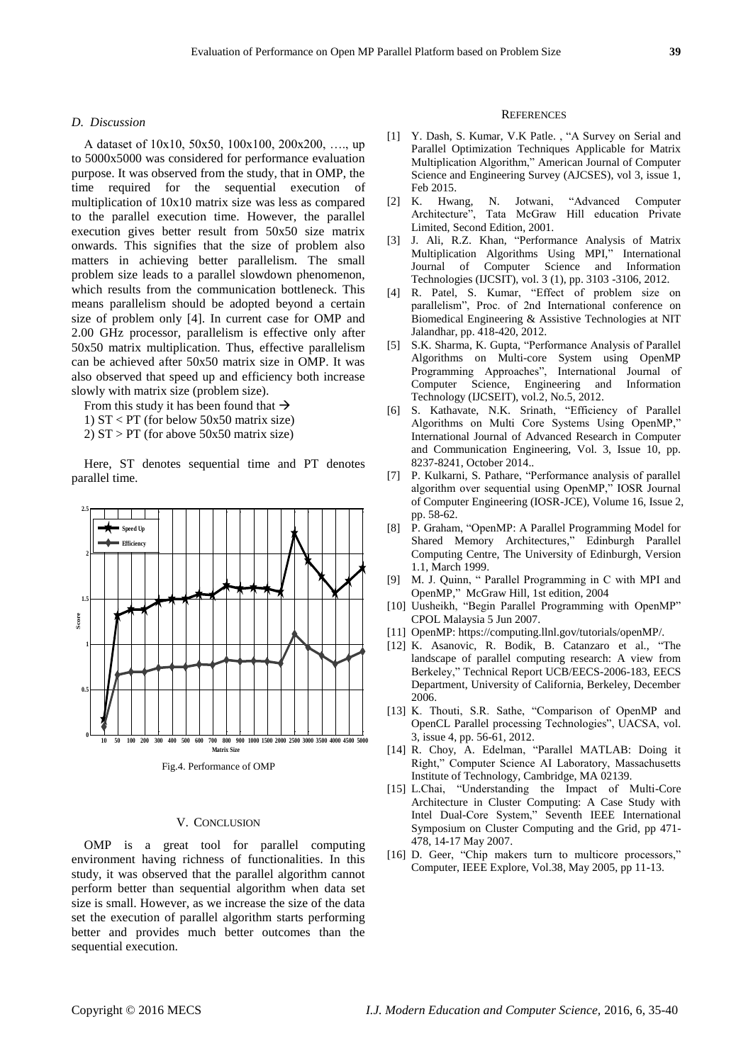## *D. Discussion*

A dataset of 10x10, 50x50, 100x100, 200x200, …., up to 5000x5000 was considered for performance evaluation purpose. It was observed from the study, that in OMP, the time required for the sequential execution of multiplication of 10x10 matrix size was less as compared to the parallel execution time. However, the parallel execution gives better result from 50x50 size matrix onwards. This signifies that the size of problem also matters in achieving better parallelism. The small problem size leads to a parallel slowdown phenomenon, which results from the communication bottleneck. This means parallelism should be adopted beyond a certain size of problem only [4]. In current case for OMP and 2.00 GHz processor, parallelism is effective only after 50x50 matrix multiplication. Thus, effective parallelism can be achieved after 50x50 matrix size in OMP. It was also observed that speed up and efficiency both increase slowly with matrix size (problem size).

From this study it has been found that  $\rightarrow$ 

- 1) ST < PT (for below 50x50 matrix size)
- 2)  $ST > PT$  (for above 50x50 matrix size)

Here, ST denotes sequential time and PT denotes parallel time.



Fig.4. Performance of OMP

## V. CONCLUSION

OMP is a great tool for parallel computing environment having richness of functionalities. In this study, it was observed that the parallel algorithm cannot perform better than sequential algorithm when data set size is small. However, as we increase the size of the data set the execution of parallel algorithm starts performing better and provides much better outcomes than the sequential execution.

#### **REFERENCES**

- [1] Y. Dash, S. Kumar, V.K Patle. , "A Survey on Serial and Parallel Optimization Techniques Applicable for Matrix Multiplication Algorithm," American Journal of Computer Science and Engineering Survey (AJCSES), vol 3, issue 1, Feb 2015.
- [2] K. Hwang, N. Jotwani, "Advanced Computer Architecture", Tata McGraw Hill education Private Limited, Second Edition, 2001.
- [3] J. Ali, R.Z. Khan, "Performance Analysis of Matrix Multiplication Algorithms Using MPI," International Journal of Computer Science and Information Technologies (IJCSIT), vol. 3 (1), pp. 3103 -3106, 2012.
- [4] R. Patel, S. Kumar, "Effect of problem size on parallelism", Proc. of 2nd International conference on Biomedical Engineering & Assistive Technologies at NIT Jalandhar, pp. 418-420, 2012.
- [5] S.K. Sharma, K. Gupta, "Performance Analysis of Parallel Algorithms on Multi-core System using OpenMP Programming Approaches", International Journal of Computer Science, Engineering and Information Technology (IJCSEIT), vol.2, No.5, 2012.
- [6] S. Kathavate, N.K. Srinath, "Efficiency of Parallel Algorithms on Multi Core Systems Using OpenMP," International Journal of Advanced Research in Computer and Communication Engineering, Vol. 3, Issue 10, pp. 8237-8241, October 2014..
- [7] P. Kulkarni, S. Pathare, "Performance analysis of parallel algorithm over sequential using OpenMP," IOSR Journal of Computer Engineering (IOSR-JCE), Volume 16, Issue 2, pp. 58-62.
- [8] P. Graham, "OpenMP: A Parallel Programming Model for Shared Memory Architectures," Edinburgh Parallel Computing Centre, The University of Edinburgh, Version 1.1, March 1999.
- [9] M. J. Quinn, " Parallel Programming in C with MPI and OpenMP," McGraw Hill, 1st edition, 2004
- [10] Uusheikh, "Begin Parallel Programming with OpenMP" CPOL Malaysia 5 Jun 2007.
- [11] OpenMP: https://computing.llnl.gov/tutorials/openMP/.
- [12] K. Asanovic, R. Bodik, B. Catanzaro et al., "The landscape of parallel computing research: A view from Berkeley," Technical Report UCB/EECS-2006-183, EECS Department, University of California, Berkeley, December 2006.
- [13] K. Thouti, S.R. Sathe, "Comparison of OpenMP and OpenCL Parallel processing Technologies", UACSA, vol. 3, issue 4, pp. 56-61, 2012.
- [14] R. Choy, A. Edelman, "Parallel MATLAB: Doing it Right," Computer Science AI Laboratory, Massachusetts Institute of Technology, Cambridge, MA 02139.
- [15] L.Chai, "Understanding the Impact of Multi-Core Architecture in Cluster Computing: A Case Study with Intel Dual-Core System," Seventh IEEE International Symposium on Cluster Computing and the Grid, pp 471- 478, 14-17 May 2007.
- [16] D. Geer, "Chip makers turn to multicore processors," Computer, IEEE Explore, Vol.38, May 2005, pp 11-13.